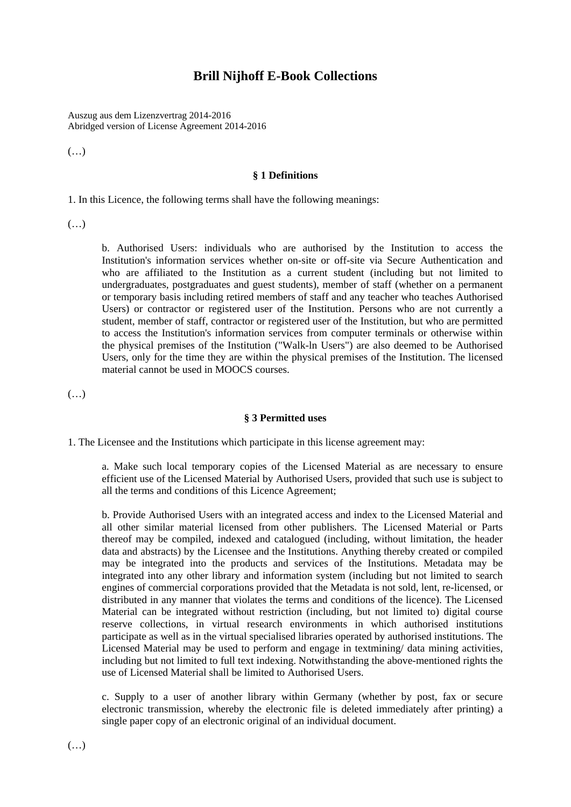# **Brill Nijhoff E-Book Collections**

Auszug aus dem Lizenzvertrag 2014-2016 Abridged version of License Agreement 2014-2016

(…)

### **§ 1 Definitions**

1. In this Licence, the following terms shall have the following meanings:

(…)

b. Authorised Users: individuals who are authorised by the Institution to access the Institution's information services whether on-site or off-site via Secure Authentication and who are affiliated to the Institution as a current student (including but not limited to undergraduates, postgraduates and guest students), member of staff (whether on a permanent or temporary basis including retired members of staff and any teacher who teaches Authorised Users) or contractor or registered user of the Institution. Persons who are not currently a student, member of staff, contractor or registered user of the Institution, but who are permitted to access the Institution's information services from computer terminals or otherwise within the physical premises of the Institution ("Walk-ln Users") are also deemed to be Authorised Users, only for the time they are within the physical premises of the Institution. The licensed material cannot be used in MOOCS courses.

(…)

### **§ 3 Permitted uses**

1. The Licensee and the Institutions which participate in this license agreement may:

a. Make such local temporary copies of the Licensed Material as are necessary to ensure efficient use of the Licensed Material by Authorised Users, provided that such use is subject to all the terms and conditions of this Licence Agreement;

b. Provide Authorised Users with an integrated access and index to the Licensed Material and all other similar material licensed from other publishers. The Licensed Material or Parts thereof may be compiled, indexed and catalogued (including, without limitation, the header data and abstracts) by the Licensee and the Institutions. Anything thereby created or compiled may be integrated into the products and services of the Institutions. Metadata may be integrated into any other library and information system (including but not limited to search engines of commercial corporations provided that the Metadata is not sold, lent, re-licensed, or distributed in any manner that violates the terms and conditions of the licence). The Licensed Material can be integrated without restriction (including, but not limited to) digital course reserve collections, in virtual research environments in which authorised institutions participate as well as in the virtual specialised libraries operated by authorised institutions. The Licensed Material may be used to perform and engage in textmining/ data mining activities, including but not limited to full text indexing. Notwithstanding the above-mentioned rights the use of Licensed Material shall be limited to Authorised Users.

c. Supply to a user of another library within Germany (whether by post, fax or secure electronic transmission, whereby the electronic file is deleted immediately after printing) a single paper copy of an electronic original of an individual document.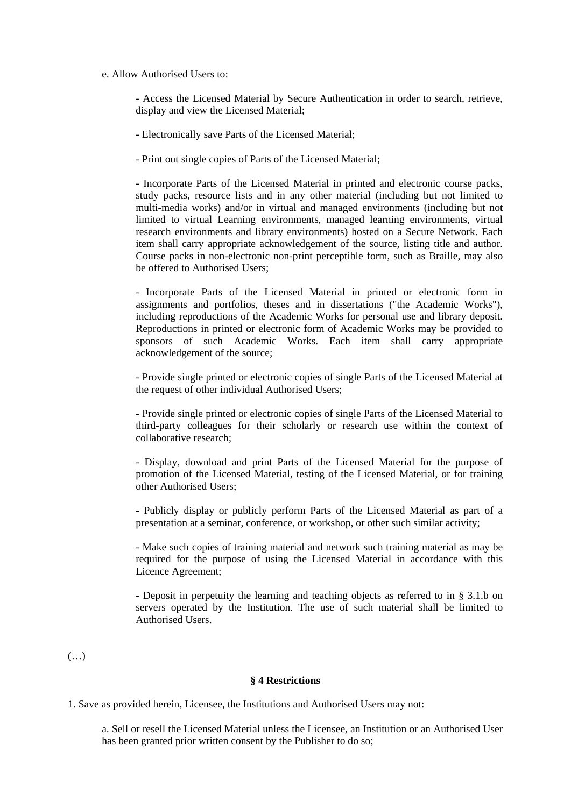## e. Allow Authorised Users to:

- Access the Licensed Material by Secure Authentication in order to search, retrieve, display and view the Licensed Material;

- Electronically save Parts of the Licensed Material;

- Print out single copies of Parts of the Licensed Material;

- Incorporate Parts of the Licensed Material in printed and electronic course packs, study packs, resource lists and in any other material (including but not limited to multi-media works) and/or in virtual and managed environments (including but not limited to virtual Learning environments, managed learning environments, virtual research environments and library environments) hosted on a Secure Network. Each item shall carry appropriate acknowledgement of the source, listing title and author. Course packs in non-electronic non-print perceptible form, such as Braille, may also be offered to Authorised Users;

- Incorporate Parts of the Licensed Material in printed or electronic form in assignments and portfolios, theses and in dissertations ("the Academic Works"), including reproductions of the Academic Works for personal use and library deposit. Reproductions in printed or electronic form of Academic Works may be provided to sponsors of such Academic Works. Each item shall carry appropriate acknowledgement of the source;

- Provide single printed or electronic copies of single Parts of the Licensed Material at the request of other individual Authorised Users;

- Provide single printed or electronic copies of single Parts of the Licensed Material to third-party colleagues for their scholarly or research use within the context of collaborative research;

- Display, download and print Parts of the Licensed Material for the purpose of promotion of the Licensed Material, testing of the Licensed Material, or for training other Authorised Users;

- Publicly display or publicly perform Parts of the Licensed Material as part of a presentation at a seminar, conference, or workshop, or other such similar activity;

- Make such copies of training material and network such training material as may be required for the purpose of using the Licensed Material in accordance with this Licence Agreement;

- Deposit in perpetuity the learning and teaching objects as referred to in § 3.1.b on servers operated by the Institution. The use of such material shall be limited to Authorised Users.

(…)

#### **§ 4 Restrictions**

1. Save as provided herein, Licensee, the Institutions and Authorised Users may not:

a. Sell or resell the Licensed Material unless the Licensee, an Institution or an Authorised User has been granted prior written consent by the Publisher to do so;